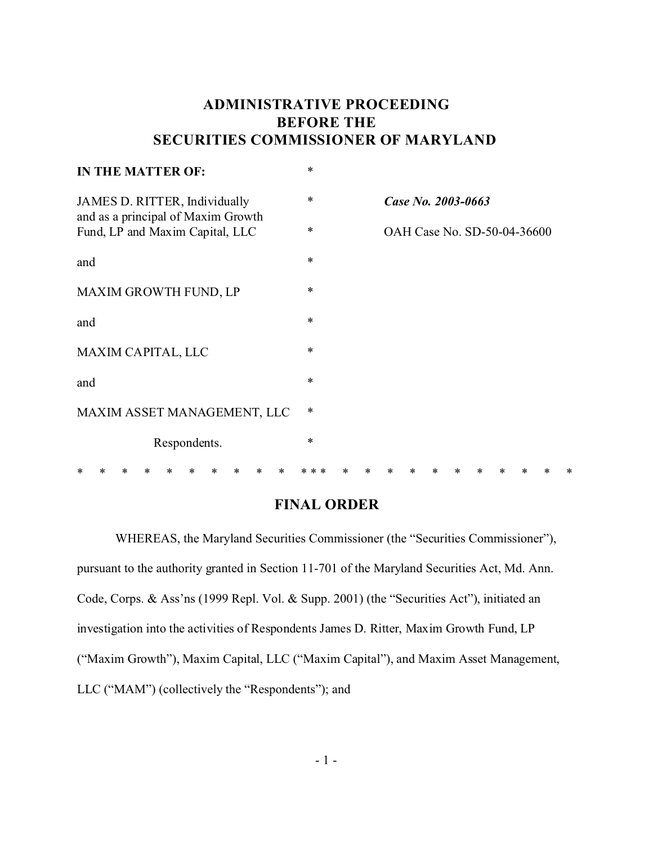## **ADMINISTRATIVE PROCEEDING BEFORE THE SECURITIES COMMISSIONER OF MARYLAND**

| <b>IN THE MATTER OF:</b>                                            | $\ast$      |  |                             |  |  |  |  |  |  |
|---------------------------------------------------------------------|-------------|--|-----------------------------|--|--|--|--|--|--|
| JAMES D. RITTER, Individually<br>and as a principal of Maxim Growth |             |  | Case No. 2003-0663          |  |  |  |  |  |  |
| Fund, LP and Maxim Capital, LLC                                     | $\ast$      |  | OAH Case No. SD-50-04-36600 |  |  |  |  |  |  |
| and                                                                 | $\ast$      |  |                             |  |  |  |  |  |  |
| MAXIM GROWTH FUND, LP                                               | $\ast$      |  |                             |  |  |  |  |  |  |
| and                                                                 | $\ast$      |  |                             |  |  |  |  |  |  |
| MAXIM CAPITAL, LLC                                                  | $\ast$      |  |                             |  |  |  |  |  |  |
| and                                                                 | $\ast$<br>* |  |                             |  |  |  |  |  |  |
| MAXIM ASSET MANAGEMENT, LLC<br>Respondents.                         | $\ast$      |  |                             |  |  |  |  |  |  |
|                                                                     |             |  |                             |  |  |  |  |  |  |
|                                                                     |             |  |                             |  |  |  |  |  |  |

## **FINAL ORDER**

WHEREAS, the Maryland Securities Commissioner (the "Securities Commissioner"), pursuant to the authority granted in Section 11-701 of the Maryland Securities Act, Md. Ann. Code, Corps. & Ass'ns (1999 Repl. Vol. & Supp. 2001) (the "Securities Act"), initiated an investigation into the activities of Respondents James D. Ritter, Maxim Growth Fund, LP ("Maxim Growth"), Maxim Capital, LLC ("Maxim Capital"), and Maxim Asset Management, LLC ("MAM") (collectively the "Respondents"); and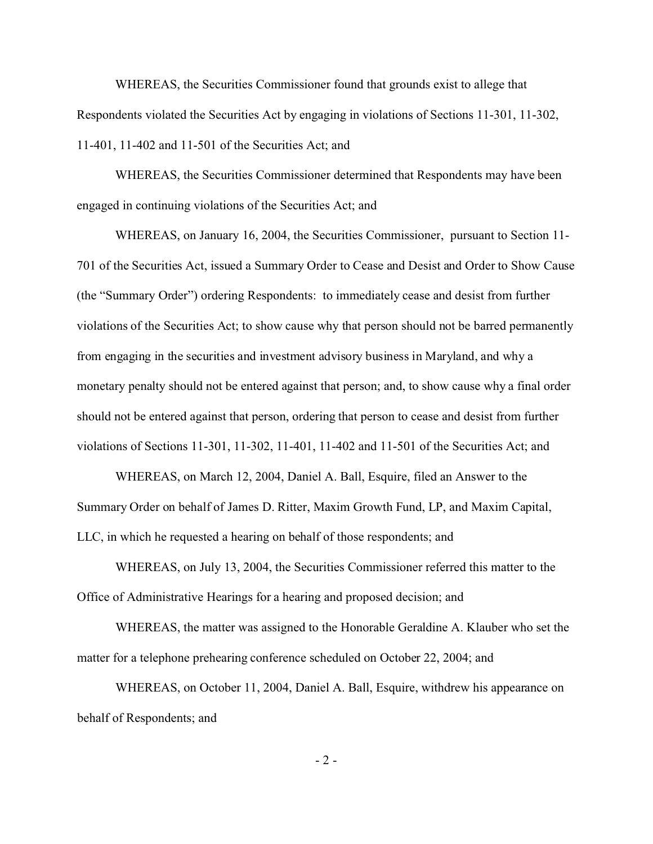WHEREAS, the Securities Commissioner found that grounds exist to allege that Respondents violated the Securities Act by engaging in violations of Sections 11-301, 11-302, 11-401, 11-402 and 11-501 of the Securities Act; and

WHEREAS, the Securities Commissioner determined that Respondents may have been engaged in continuing violations of the Securities Act; and

WHEREAS, on January 16, 2004, the Securities Commissioner, pursuant to Section 11- 701 of the Securities Act, issued a Summary Order to Cease and Desist and Order to Show Cause (the "Summary Order") ordering Respondents: to immediately cease and desist from further violations of the Securities Act; to show cause why that person should not be barred permanently from engaging in the securities and investment advisory business in Maryland, and why a monetary penalty should not be entered against that person; and, to show cause why a final order should not be entered against that person, ordering that person to cease and desist from further violations of Sections 11-301, 11-302, 11-401, 11-402 and 11-501 of the Securities Act; and

WHEREAS, on March 12, 2004, Daniel A. Ball, Esquire, filed an Answer to the Summary Order on behalf of James D. Ritter, Maxim Growth Fund, LP, and Maxim Capital, LLC, in which he requested a hearing on behalf of those respondents; and

WHEREAS, on July 13, 2004, the Securities Commissioner referred this matter to the Office of Administrative Hearings for a hearing and proposed decision; and

WHEREAS, the matter was assigned to the Honorable Geraldine A. Klauber who set the matter for a telephone prehearing conference scheduled on October 22, 2004; and

WHEREAS, on October 11, 2004, Daniel A. Ball, Esquire, withdrew his appearance on behalf of Respondents; and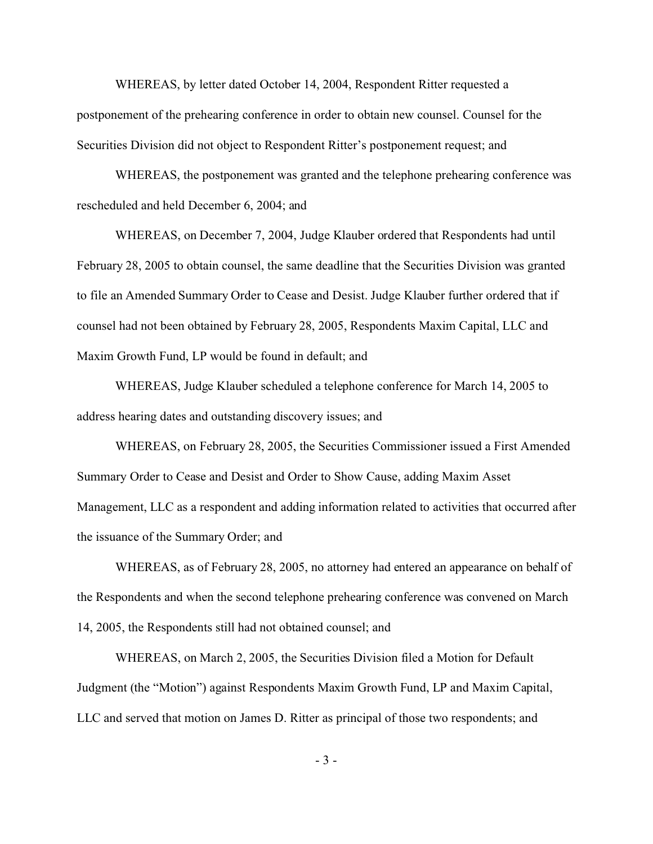WHEREAS, by letter dated October 14, 2004, Respondent Ritter requested a postponement of the prehearing conference in order to obtain new counsel. Counsel for the Securities Division did not object to Respondent Ritter's postponement request; and

WHEREAS, the postponement was granted and the telephone prehearing conference was rescheduled and held December 6, 2004; and

WHEREAS, on December 7, 2004, Judge Klauber ordered that Respondents had until February 28, 2005 to obtain counsel, the same deadline that the Securities Division was granted to file an Amended Summary Order to Cease and Desist. Judge Klauber further ordered that if counsel had not been obtained by February 28, 2005, Respondents Maxim Capital, LLC and Maxim Growth Fund, LP would be found in default; and

WHEREAS, Judge Klauber scheduled a telephone conference for March 14, 2005 to address hearing dates and outstanding discovery issues; and

WHEREAS, on February 28, 2005, the Securities Commissioner issued a First Amended Summary Order to Cease and Desist and Order to Show Cause, adding Maxim Asset Management, LLC as a respondent and adding information related to activities that occurred after the issuance of the Summary Order; and

WHEREAS, as of February 28, 2005, no attorney had entered an appearance on behalf of the Respondents and when the second telephone prehearing conference was convened on March 14, 2005, the Respondents still had not obtained counsel; and

WHEREAS, on March 2, 2005, the Securities Division filed a Motion for Default Judgment (the "Motion") against Respondents Maxim Growth Fund, LP and Maxim Capital, LLC and served that motion on James D. Ritter as principal of those two respondents; and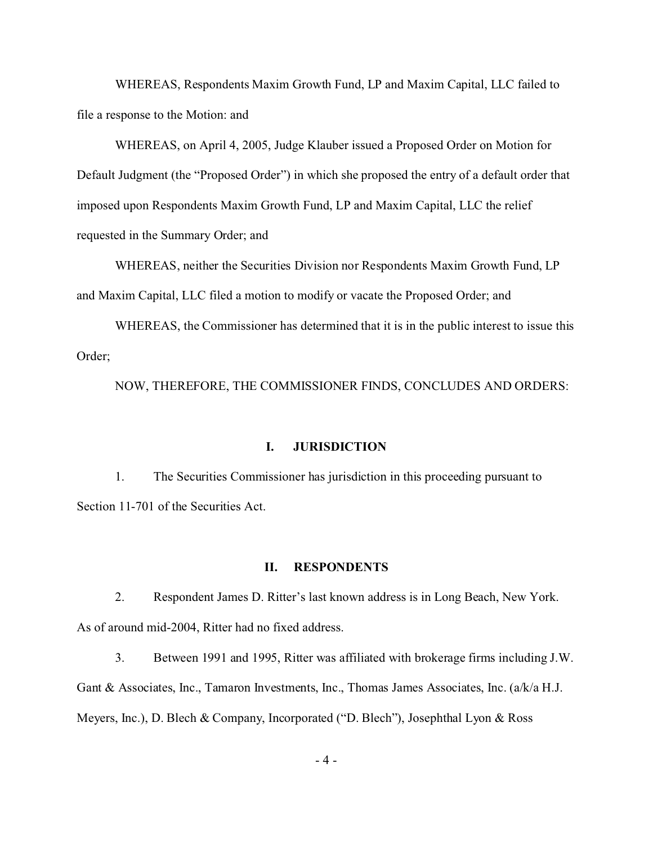WHEREAS, Respondents Maxim Growth Fund, LP and Maxim Capital, LLC failed to file a response to the Motion: and

WHEREAS, on April 4, 2005, Judge Klauber issued a Proposed Order on Motion for Default Judgment (the "Proposed Order") in which she proposed the entry of a default order that imposed upon Respondents Maxim Growth Fund, LP and Maxim Capital, LLC the relief requested in the Summary Order; and

WHEREAS, neither the Securities Division nor Respondents Maxim Growth Fund, LP and Maxim Capital, LLC filed a motion to modify or vacate the Proposed Order; and

WHEREAS, the Commissioner has determined that it is in the public interest to issue this Order;

NOW, THEREFORE, THE COMMISSIONER FINDS, CONCLUDES AND ORDERS:

### **I. JURISDICTION**

1. The Securities Commissioner has jurisdiction in this proceeding pursuant to Section 11-701 of the Securities Act.

#### **II. RESPONDENTS**

2. Respondent James D. Ritter's last known address is in Long Beach, New York. As of around mid-2004, Ritter had no fixed address.

3. Between 1991 and 1995, Ritter was affiliated with brokerage firms including J.W. Gant & Associates, Inc., Tamaron Investments, Inc., Thomas James Associates, Inc. (a/k/a H.J. Meyers, Inc.), D. Blech & Company, Incorporated ("D. Blech"), Josephthal Lyon & Ross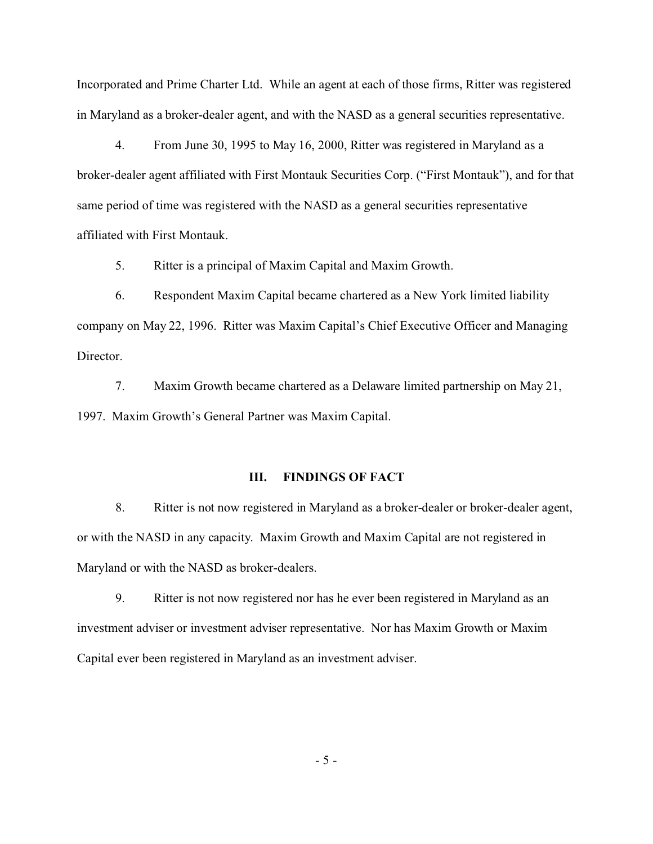Incorporated and Prime Charter Ltd. While an agent at each of those firms, Ritter was registered in Maryland as a broker-dealer agent, and with the NASD as a general securities representative.

4. From June 30, 1995 to May 16, 2000, Ritter was registered in Maryland as a broker-dealer agent affiliated with First Montauk Securities Corp. ("First Montauk"), and for that same period of time was registered with the NASD as a general securities representative affiliated with First Montauk.

5. Ritter is a principal of Maxim Capital and Maxim Growth.

6. Respondent Maxim Capital became chartered as a New York limited liability company on May 22, 1996. Ritter was Maxim Capital's Chief Executive Officer and Managing Director.

7. Maxim Growth became chartered as a Delaware limited partnership on May 21, 1997. Maxim Growth's General Partner was Maxim Capital.

### **III. FINDINGS OF FACT**

8. Ritter is not now registered in Maryland as a broker-dealer or broker-dealer agent, or with the NASD in any capacity. Maxim Growth and Maxim Capital are not registered in Maryland or with the NASD as broker-dealers.

9. Ritter is not now registered nor has he ever been registered in Maryland as an investment adviser or investment adviser representative. Nor has Maxim Growth or Maxim Capital ever been registered in Maryland as an investment adviser.

- 5 -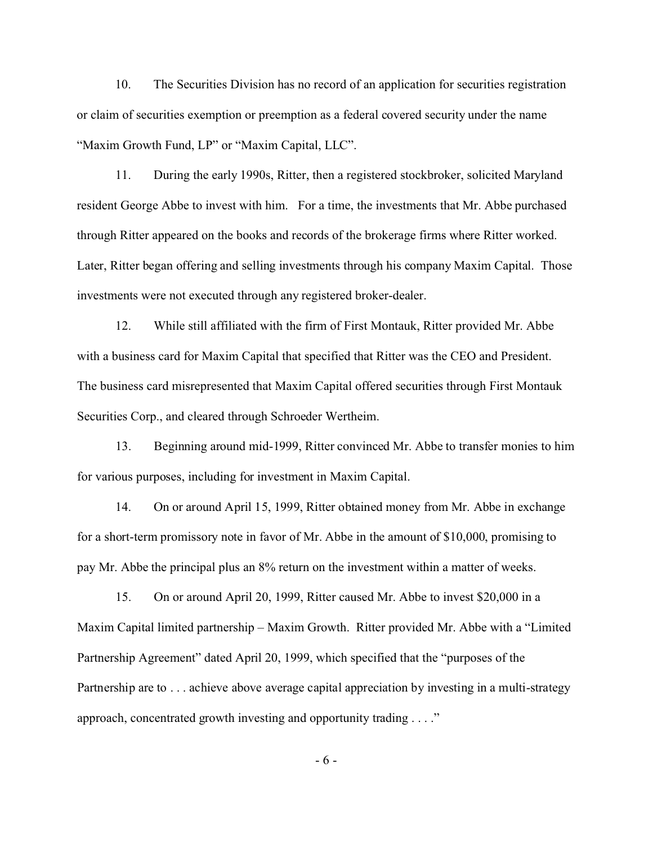10. The Securities Division has no record of an application for securities registration or claim of securities exemption or preemption as a federal covered security under the name "Maxim Growth Fund, LP" or "Maxim Capital, LLC".

11. During the early 1990s, Ritter, then a registered stockbroker, solicited Maryland resident George Abbe to invest with him. For a time, the investments that Mr. Abbe purchased through Ritter appeared on the books and records of the brokerage firms where Ritter worked. Later, Ritter began offering and selling investments through his company Maxim Capital. Those investments were not executed through any registered broker-dealer.

12. While still affiliated with the firm of First Montauk, Ritter provided Mr. Abbe with a business card for Maxim Capital that specified that Ritter was the CEO and President. The business card misrepresented that Maxim Capital offered securities through First Montauk Securities Corp., and cleared through Schroeder Wertheim.

13. Beginning around mid-1999, Ritter convinced Mr. Abbe to transfer monies to him for various purposes, including for investment in Maxim Capital.

14. On or around April 15, 1999, Ritter obtained money from Mr. Abbe in exchange for a short-term promissory note in favor of Mr. Abbe in the amount of \$10,000, promising to pay Mr. Abbe the principal plus an 8% return on the investment within a matter of weeks.

15. On or around April 20, 1999, Ritter caused Mr. Abbe to invest \$20,000 in a Maxim Capital limited partnership – Maxim Growth. Ritter provided Mr. Abbe with a "Limited Partnership Agreement" dated April 20, 1999, which specified that the "purposes of the Partnership are to . . . achieve above average capital appreciation by investing in a multi-strategy approach, concentrated growth investing and opportunity trading . . . ."

- 6 -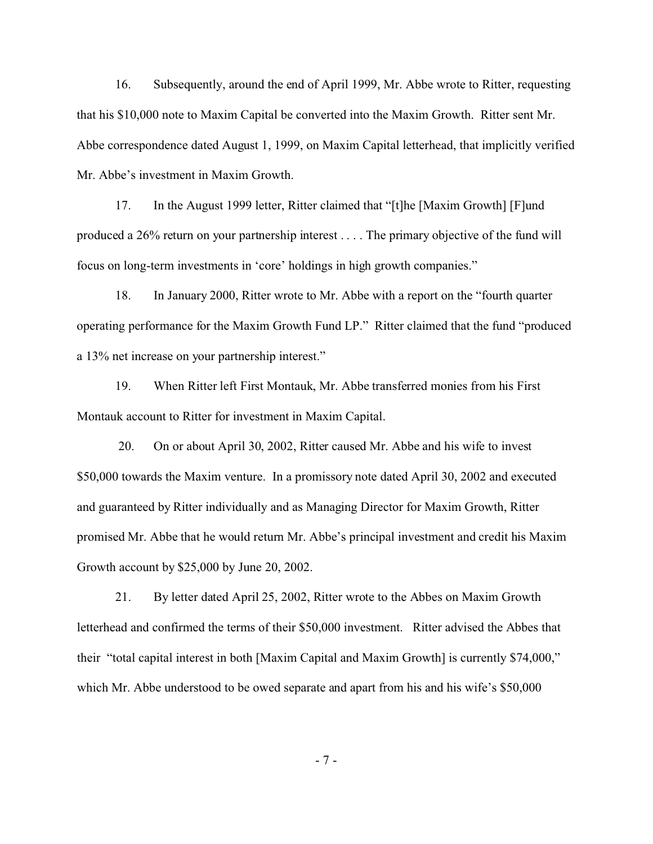16. Subsequently, around the end of April 1999, Mr. Abbe wrote to Ritter, requesting that his \$10,000 note to Maxim Capital be converted into the Maxim Growth. Ritter sent Mr. Abbe correspondence dated August 1, 1999, on Maxim Capital letterhead, that implicitly verified Mr. Abbe's investment in Maxim Growth.

17. In the August 1999 letter, Ritter claimed that "[t]he [Maxim Growth] [F]und produced a 26% return on your partnership interest . . . . The primary objective of the fund will focus on long-term investments in 'core' holdings in high growth companies."

18. In January 2000, Ritter wrote to Mr. Abbe with a report on the "fourth quarter operating performance for the Maxim Growth Fund LP." Ritter claimed that the fund "produced a 13% net increase on your partnership interest."

19. When Ritter left First Montauk, Mr. Abbe transferred monies from his First Montauk account to Ritter for investment in Maxim Capital.

 20. On or about April 30, 2002, Ritter caused Mr. Abbe and his wife to invest \$50,000 towards the Maxim venture. In a promissory note dated April 30, 2002 and executed and guaranteed by Ritter individually and as Managing Director for Maxim Growth, Ritter promised Mr. Abbe that he would return Mr. Abbe's principal investment and credit his Maxim Growth account by \$25,000 by June 20, 2002.

21. By letter dated April 25, 2002, Ritter wrote to the Abbes on Maxim Growth letterhead and confirmed the terms of their \$50,000 investment. Ritter advised the Abbes that their "total capital interest in both [Maxim Capital and Maxim Growth] is currently \$74,000," which Mr. Abbe understood to be owed separate and apart from his and his wife's \$50,000

- 7 -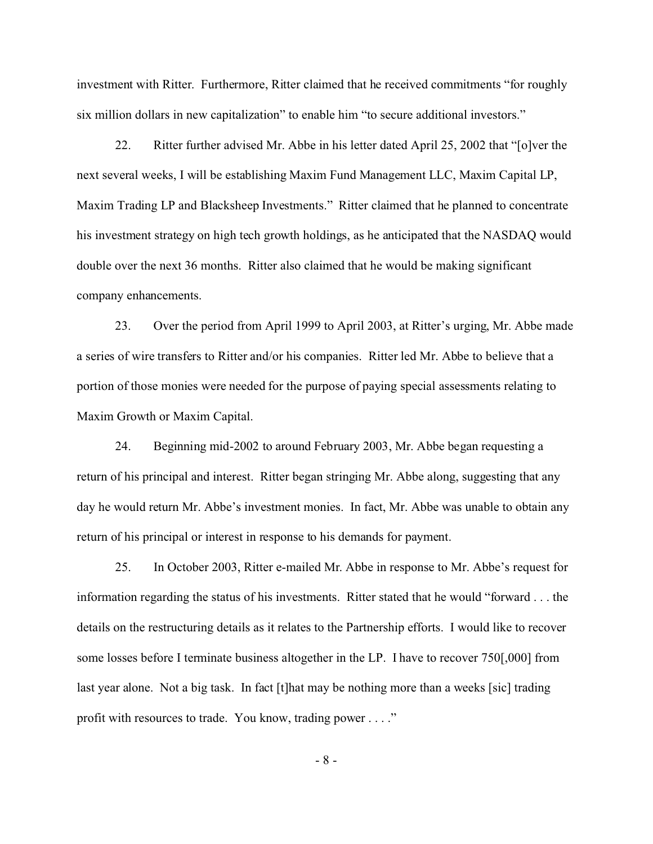investment with Ritter. Furthermore, Ritter claimed that he received commitments "for roughly six million dollars in new capitalization" to enable him "to secure additional investors."

22. Ritter further advised Mr. Abbe in his letter dated April 25, 2002 that "[o]ver the next several weeks, I will be establishing Maxim Fund Management LLC, Maxim Capital LP, Maxim Trading LP and Blacksheep Investments." Ritter claimed that he planned to concentrate his investment strategy on high tech growth holdings, as he anticipated that the NASDAQ would double over the next 36 months. Ritter also claimed that he would be making significant company enhancements.

23. Over the period from April 1999 to April 2003, at Ritter's urging, Mr. Abbe made a series of wire transfers to Ritter and/or his companies. Ritter led Mr. Abbe to believe that a portion of those monies were needed for the purpose of paying special assessments relating to Maxim Growth or Maxim Capital.

24. Beginning mid-2002 to around February 2003, Mr. Abbe began requesting a return of his principal and interest. Ritter began stringing Mr. Abbe along, suggesting that any day he would return Mr. Abbe's investment monies. In fact, Mr. Abbe was unable to obtain any return of his principal or interest in response to his demands for payment.

25. In October 2003, Ritter e-mailed Mr. Abbe in response to Mr. Abbe's request for information regarding the status of his investments. Ritter stated that he would "forward . . . the details on the restructuring details as it relates to the Partnership efforts. I would like to recover some losses before I terminate business altogether in the LP. I have to recover 750[,000] from last year alone. Not a big task. In fact [t]hat may be nothing more than a weeks [sic] trading profit with resources to trade. You know, trading power . . . ."

- 8 -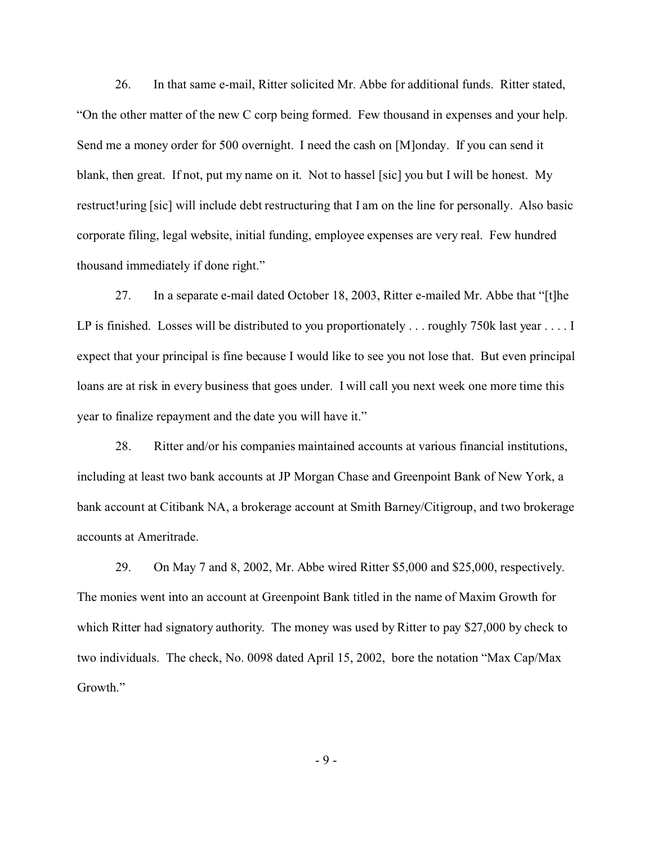26. In that same e-mail, Ritter solicited Mr. Abbe for additional funds. Ritter stated, "On the other matter of the new C corp being formed. Few thousand in expenses and your help. Send me a money order for 500 overnight. I need the cash on [M]onday. If you can send it blank, then great. If not, put my name on it. Not to hassel [sic] you but I will be honest. My restruct!uring [sic] will include debt restructuring that I am on the line for personally. Also basic corporate filing, legal website, initial funding, employee expenses are very real. Few hundred thousand immediately if done right."

27. In a separate e-mail dated October 18, 2003, Ritter e-mailed Mr. Abbe that "[t]he LP is finished. Losses will be distributed to you proportionately ... roughly 750k last year ... . I expect that your principal is fine because I would like to see you not lose that. But even principal loans are at risk in every business that goes under. I will call you next week one more time this year to finalize repayment and the date you will have it."

28. Ritter and/or his companies maintained accounts at various financial institutions, including at least two bank accounts at JP Morgan Chase and Greenpoint Bank of New York, a bank account at Citibank NA, a brokerage account at Smith Barney/Citigroup, and two brokerage accounts at Ameritrade.

29. On May 7 and 8, 2002, Mr. Abbe wired Ritter \$5,000 and \$25,000, respectively. The monies went into an account at Greenpoint Bank titled in the name of Maxim Growth for which Ritter had signatory authority. The money was used by Ritter to pay \$27,000 by check to two individuals. The check, No. 0098 dated April 15, 2002, bore the notation "Max Cap/Max Growth."

- 9 -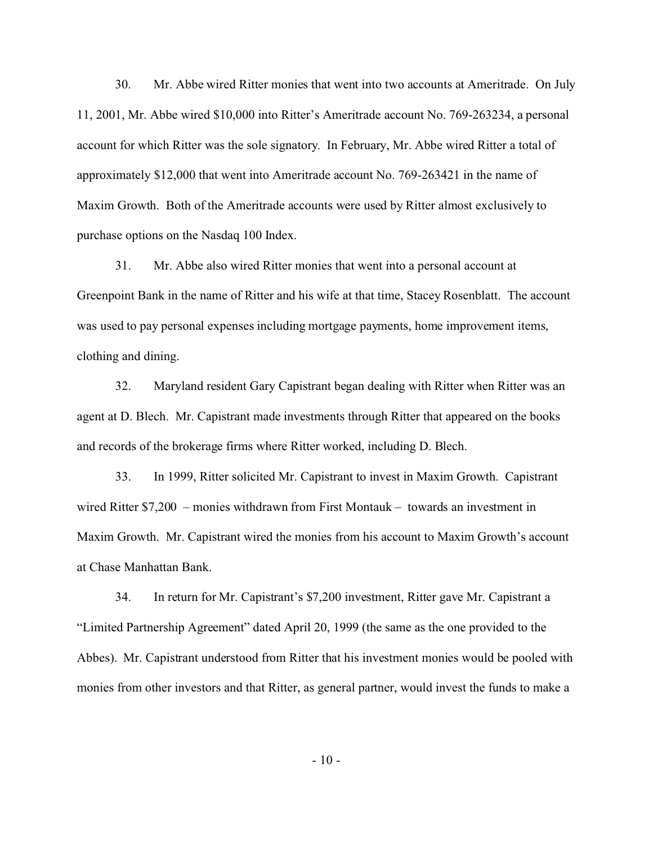30. Mr. Abbe wired Ritter monies that went into two accounts at Ameritrade. On July 11, 2001, Mr. Abbe wired \$10,000 into Ritter's Ameritrade account No. 769-263234, a personal account for which Ritter was the sole signatory. In February, Mr. Abbe wired Ritter a total of approximately \$12,000 that went into Ameritrade account No. 769-263421 in the name of Maxim Growth. Both of the Ameritrade accounts were used by Ritter almost exclusively to purchase options on the Nasdaq 100 Index.

31. Mr. Abbe also wired Ritter monies that went into a personal account at Greenpoint Bank in the name of Ritter and his wife at that time, Stacey Rosenblatt. The account was used to pay personal expenses including mortgage payments, home improvement items, clothing and dining.

32. Maryland resident Gary Capistrant began dealing with Ritter when Ritter was an agent at D. Blech. Mr. Capistrant made investments through Ritter that appeared on the books and records of the brokerage firms where Ritter worked, including D. Blech.

33. In 1999, Ritter solicited Mr. Capistrant to invest in Maxim Growth. Capistrant wired Ritter \$7,200 – monies withdrawn from First Montauk – towards an investment in Maxim Growth. Mr. Capistrant wired the monies from his account to Maxim Growth's account at Chase Manhattan Bank.

34. In return for Mr. Capistrant's \$7,200 investment, Ritter gave Mr. Capistrant a "Limited Partnership Agreement" dated April 20, 1999 (the same as the one provided to the Abbes). Mr. Capistrant understood from Ritter that his investment monies would be pooled with monies from other investors and that Ritter, as general partner, would invest the funds to make a

- 10 -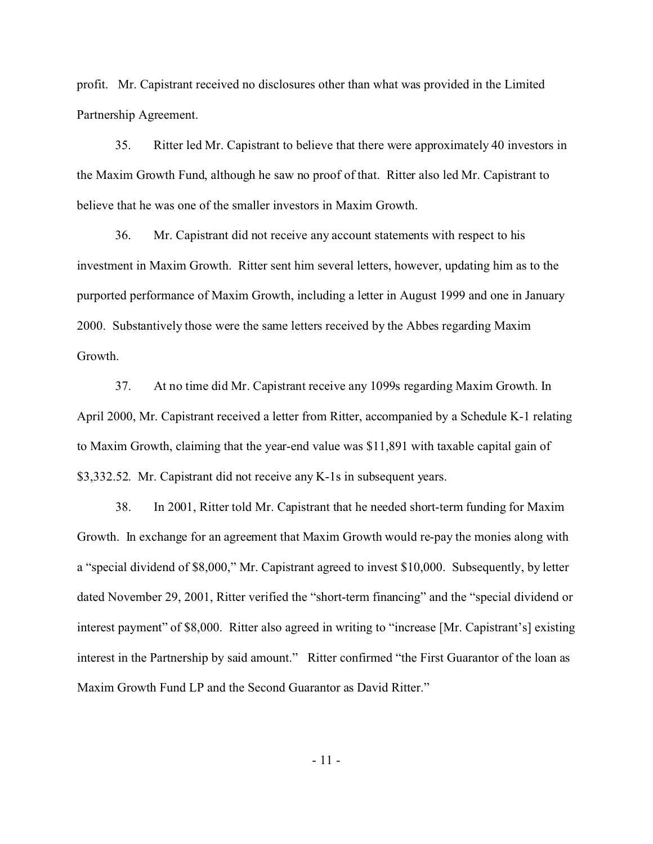profit. Mr. Capistrant received no disclosures other than what was provided in the Limited Partnership Agreement.

35. Ritter led Mr. Capistrant to believe that there were approximately 40 investors in the Maxim Growth Fund, although he saw no proof of that. Ritter also led Mr. Capistrant to believe that he was one of the smaller investors in Maxim Growth.

36. Mr. Capistrant did not receive any account statements with respect to his investment in Maxim Growth. Ritter sent him several letters, however, updating him as to the purported performance of Maxim Growth, including a letter in August 1999 and one in January 2000. Substantively those were the same letters received by the Abbes regarding Maxim Growth.

37. At no time did Mr. Capistrant receive any 1099s regarding Maxim Growth. In April 2000, Mr. Capistrant received a letter from Ritter, accompanied by a Schedule K-1 relating to Maxim Growth, claiming that the year-end value was \$11,891 with taxable capital gain of \$3,332.52. Mr. Capistrant did not receive any K-1s in subsequent years.

38. In 2001, Ritter told Mr. Capistrant that he needed short-term funding for Maxim Growth. In exchange for an agreement that Maxim Growth would re-pay the monies along with a "special dividend of \$8,000," Mr. Capistrant agreed to invest \$10,000. Subsequently, by letter dated November 29, 2001, Ritter verified the "short-term financing" and the "special dividend or interest payment" of \$8,000. Ritter also agreed in writing to "increase [Mr. Capistrant's] existing interest in the Partnership by said amount." Ritter confirmed "the First Guarantor of the loan as Maxim Growth Fund LP and the Second Guarantor as David Ritter."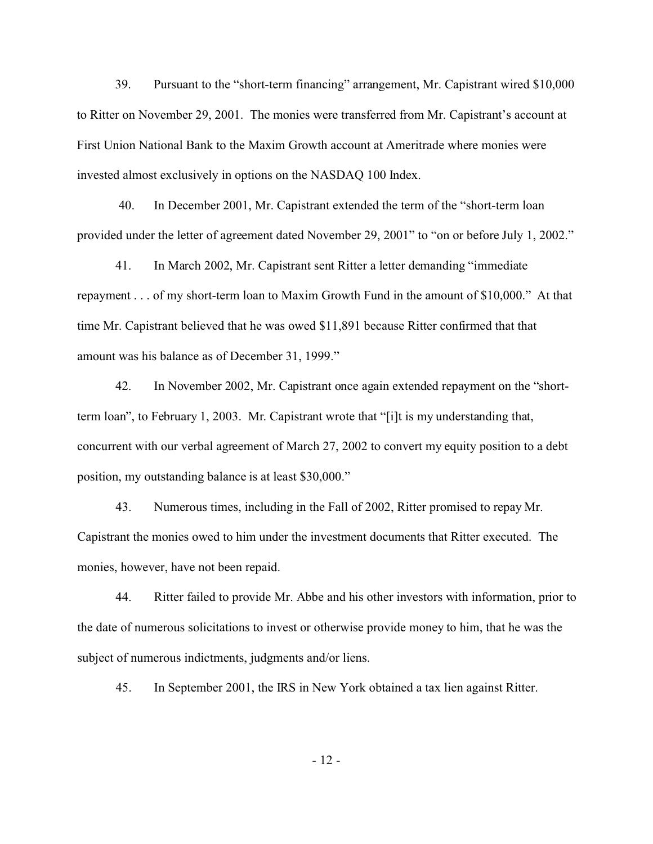39. Pursuant to the "short-term financing" arrangement, Mr. Capistrant wired \$10,000 to Ritter on November 29, 2001. The monies were transferred from Mr. Capistrant's account at First Union National Bank to the Maxim Growth account at Ameritrade where monies were invested almost exclusively in options on the NASDAQ 100 Index.

 40. In December 2001, Mr. Capistrant extended the term of the "short-term loan provided under the letter of agreement dated November 29, 2001" to "on or before July 1, 2002."

41. In March 2002, Mr. Capistrant sent Ritter a letter demanding "immediate repayment . . . of my short-term loan to Maxim Growth Fund in the amount of \$10,000." At that time Mr. Capistrant believed that he was owed \$11,891 because Ritter confirmed that that amount was his balance as of December 31, 1999."

42. In November 2002, Mr. Capistrant once again extended repayment on the "shortterm loan", to February 1, 2003. Mr. Capistrant wrote that "[i]t is my understanding that, concurrent with our verbal agreement of March 27, 2002 to convert my equity position to a debt position, my outstanding balance is at least \$30,000."

43. Numerous times, including in the Fall of 2002, Ritter promised to repay Mr. Capistrant the monies owed to him under the investment documents that Ritter executed. The monies, however, have not been repaid.

44. Ritter failed to provide Mr. Abbe and his other investors with information, prior to the date of numerous solicitations to invest or otherwise provide money to him, that he was the subject of numerous indictments, judgments and/or liens.

45. In September 2001, the IRS in New York obtained a tax lien against Ritter.

- 12 -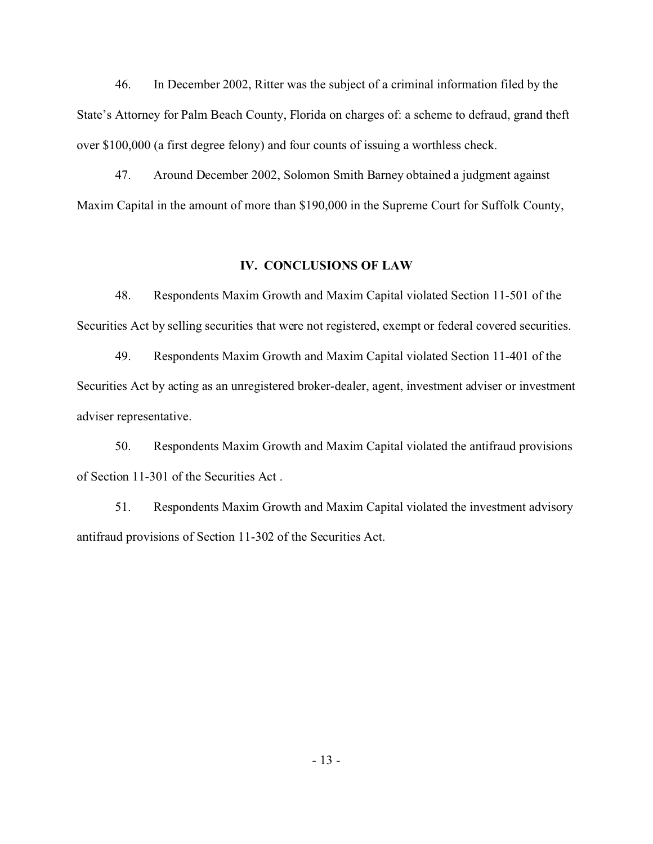46. In December 2002, Ritter was the subject of a criminal information filed by the State's Attorney for Palm Beach County, Florida on charges of: a scheme to defraud, grand theft over \$100,000 (a first degree felony) and four counts of issuing a worthless check.

47. Around December 2002, Solomon Smith Barney obtained a judgment against Maxim Capital in the amount of more than \$190,000 in the Supreme Court for Suffolk County,

### **IV. CONCLUSIONS OF LAW**

48. Respondents Maxim Growth and Maxim Capital violated Section 11-501 of the Securities Act by selling securities that were not registered, exempt or federal covered securities.

49. Respondents Maxim Growth and Maxim Capital violated Section 11-401 of the Securities Act by acting as an unregistered broker-dealer, agent, investment adviser or investment adviser representative.

50. Respondents Maxim Growth and Maxim Capital violated the antifraud provisions of Section 11-301 of the Securities Act .

51. Respondents Maxim Growth and Maxim Capital violated the investment advisory antifraud provisions of Section 11-302 of the Securities Act.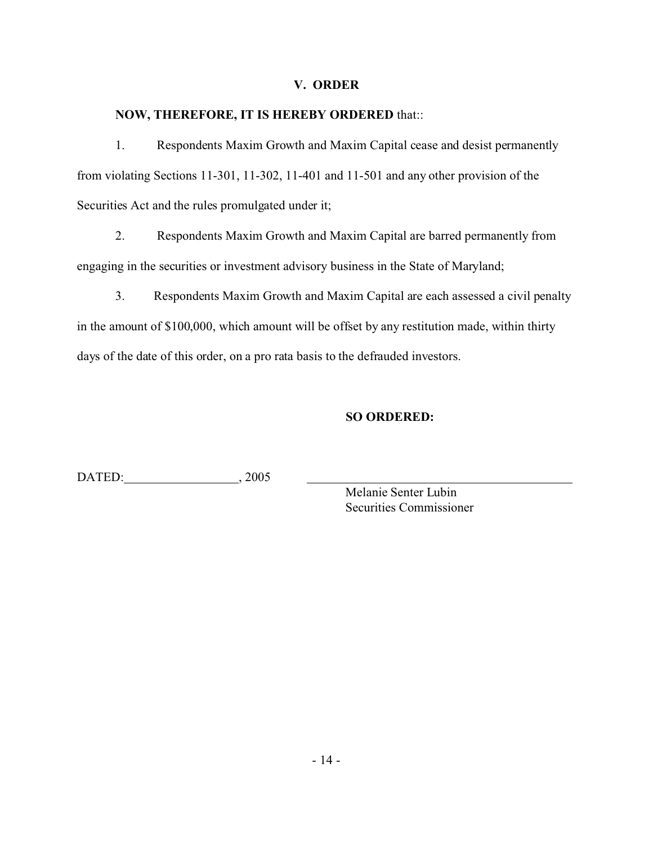### **V. ORDER**

## **NOW, THEREFORE, IT IS HEREBY ORDERED** that::

1. Respondents Maxim Growth and Maxim Capital cease and desist permanently from violating Sections 11-301, 11-302, 11-401 and 11-501 and any other provision of the Securities Act and the rules promulgated under it;

2. Respondents Maxim Growth and Maxim Capital are barred permanently from engaging in the securities or investment advisory business in the State of Maryland;

3. Respondents Maxim Growth and Maxim Capital are each assessed a civil penalty in the amount of \$100,000, which amount will be offset by any restitution made, within thirty days of the date of this order, on a pro rata basis to the defrauded investors.

## **SO ORDERED:**

DATED: 2005

Melanie Senter Lubin Securities Commissioner